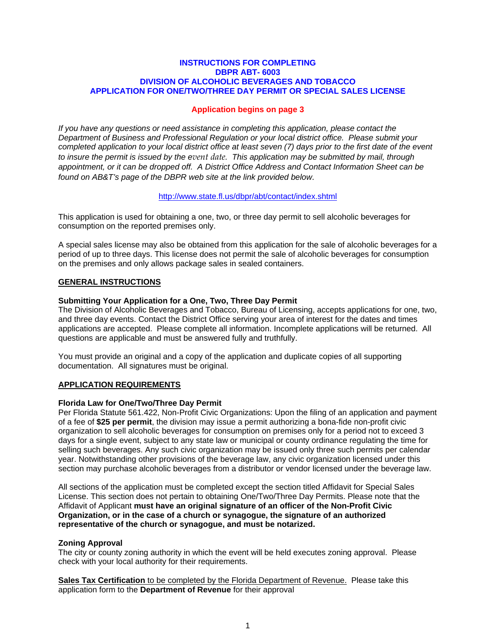#### **INSTRUCTIONS FOR COMPLETING DBPR ABT- 6003 DIVISION OF ALCOHOLIC BEVERAGES AND TOBACCO APPLICATION FOR ONE/TWO/THREE DAY PERMIT OR SPECIAL SALES LICENSE**

# **Application begins on page 3**

*If you have any questions or need assistance in completing this application, please contact the Department of Business and Professional Regulation or your local district office. Please submit your completed application to your local district office at least seven (7) days prior to the first date of the event to insure the permit is issued by the event date. This application may be submitted by mail, through appointment, or it can be dropped off. A District Office Address and Contact Information Sheet can be found on AB&T's page of the DBPR web site at the link provided below.* 

## http://www.state.fl.us/dbpr/abt/contact/index.shtml

This application is used for obtaining a one, two, or three day permit to sell alcoholic beverages for consumption on the reported premises only.

A special sales license may also be obtained from this application for the sale of alcoholic beverages for a period of up to three days. This license does not permit the sale of alcoholic beverages for consumption on the premises and only allows package sales in sealed containers.

## **GENERAL INSTRUCTIONS**

## **Submitting Your Application for a One, Two, Three Day Permit**

The Division of Alcoholic Beverages and Tobacco, Bureau of Licensing, accepts applications for one, two, and three day events. Contact the District Office serving your area of interest for the dates and times applications are accepted. Please complete all information. Incomplete applications will be returned. All questions are applicable and must be answered fully and truthfully.

You must provide an original and a copy of the application and duplicate copies of all supporting documentation. All signatures must be original.

#### **APPLICATION REQUIREMENTS**

#### **Florida Law for One/Two/Three Day Permit**

Per Florida Statute 561.422, Non-Profit Civic Organizations: Upon the filing of an application and payment of a fee of **\$25 per permit**, the division may issue a permit authorizing a bona-fide non-profit civic organization to sell alcoholic beverages for consumption on premises only for a period not to exceed 3 days for a single event, subject to any state law or municipal or county ordinance regulating the time for selling such beverages. Any such civic organization may be issued only three such permits per calendar year. Notwithstanding other provisions of the beverage law, any civic organization licensed under this section may purchase alcoholic beverages from a distributor or vendor licensed under the beverage law.

All sections of the application must be completed except the section titled Affidavit for Special Sales License. This section does not pertain to obtaining One/Two/Three Day Permits. Please note that the Affidavit of Applicant **must have an original signature of an officer of the Non-Profit Civic Organization, or in the case of a church or synagogue, the signature of an authorized representative of the church or synagogue, and must be notarized.** 

#### **Zoning Approval**

The city or county zoning authority in which the event will be held executes zoning approval. Please check with your local authority for their requirements.

**Sales Tax Certification** to be completed by the Florida Department of Revenue. Please take this application form to the **Department of Revenue** for their approval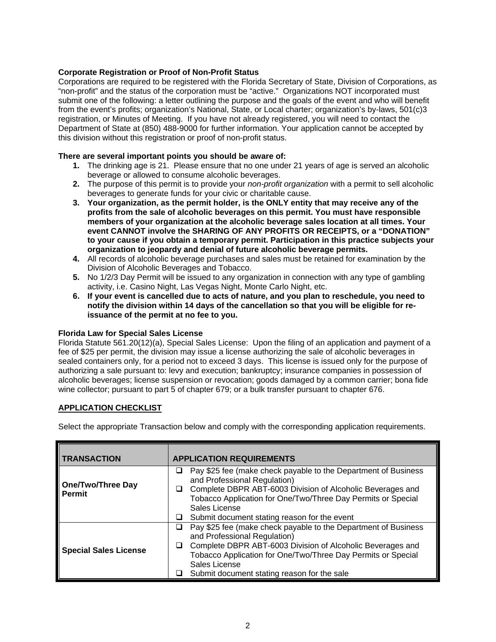# **Corporate Registration or Proof of Non-Profit Status**

Corporations are required to be registered with the Florida Secretary of State, Division of Corporations, as "non-profit" and the status of the corporation must be "active." Organizations NOT incorporated must submit one of the following: a letter outlining the purpose and the goals of the event and who will benefit from the event's profits; organization's National, State, or Local charter; organization's by-laws, 501(c)3 registration, or Minutes of Meeting. If you have not already registered, you will need to contact the Department of State at (850) 488-9000 for further information. Your application cannot be accepted by this division without this registration or proof of non-profit status.

#### **There are several important points you should be aware of:**

- **1.** The drinking age is 21. Please ensure that no one under 21 years of age is served an alcoholic beverage or allowed to consume alcoholic beverages.
- **2.** The purpose of this permit is to provide your *non-profit organization* with a permit to sell alcoholic beverages to generate funds for your civic or charitable cause.
- **3. Your organization, as the permit holder, is the ONLY entity that may receive any of the profits from the sale of alcoholic beverages on this permit. You must have responsible members of your organization at the alcoholic beverage sales location at all times. Your event CANNOT involve the SHARING OF ANY PROFITS OR RECEIPTS, or a "DONATION" to your cause if you obtain a temporary permit. Participation in this practice subjects your organization to jeopardy and denial of future alcoholic beverage permits.**
- **4.** All records of alcoholic beverage purchases and sales must be retained for examination by the Division of Alcoholic Beverages and Tobacco.
- **5.** No 1/2/3 Day Permit will be issued to any organization in connection with any type of gambling activity, i.e. Casino Night, Las Vegas Night, Monte Carlo Night, etc.
- **6. If your event is cancelled due to acts of nature, and you plan to reschedule, you need to notify the division within 14 days of the cancellation so that you will be eligible for reissuance of the permit at no fee to you.**

#### **Florida Law for Special Sales License**

Florida Statute 561.20(12)(a), Special Sales License: Upon the filing of an application and payment of a fee of \$25 per permit, the division may issue a license authorizing the sale of alcoholic beverages in sealed containers only, for a period not to exceed 3 days. This license is issued only for the purpose of authorizing a sale pursuant to: levy and execution; bankruptcy; insurance companies in possession of alcoholic beverages; license suspension or revocation; goods damaged by a common carrier; bona fide wine collector; pursuant to part 5 of chapter 679; or a bulk transfer pursuant to chapter 676.

# **APPLICATION CHECKLIST**

Select the appropriate Transaction below and comply with the corresponding application requirements.

| <b>TRANSACTION</b>                        | <b>APPLICATION REQUIREMENTS</b>                                                                                                                                                                                                                                                                         |
|-------------------------------------------|---------------------------------------------------------------------------------------------------------------------------------------------------------------------------------------------------------------------------------------------------------------------------------------------------------|
| <b>One/Two/Three Day</b><br><b>Permit</b> | Pay \$25 fee (make check payable to the Department of Business<br>ப<br>and Professional Regulation)<br>Complete DBPR ABT-6003 Division of Alcoholic Beverages and<br>ப<br>Tobacco Application for One/Two/Three Day Permits or Special<br>Sales License<br>Submit document stating reason for the event |
| <b>Special Sales License</b>              | Pay \$25 fee (make check payable to the Department of Business<br>and Professional Regulation)<br>Complete DBPR ABT-6003 Division of Alcoholic Beverages and<br>⊔<br>Tobacco Application for One/Two/Three Day Permits or Special<br>Sales License<br>Submit document stating reason for the sale       |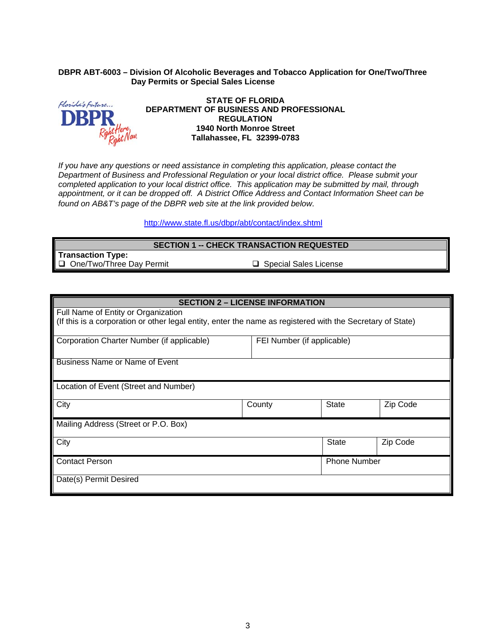#### **DBPR ABT-6003 – Division Of Alcoholic Beverages and Tobacco Application for One/Two/Three Day Permits or Special Sales License**



*If you have any questions or need assistance in completing this application, please contact the Department of Business and Professional Regulation or your local district office. Please submit your completed application to your local district office. This application may be submitted by mail, through appointment, or it can be dropped off. A District Office Address and Contact Information Sheet can be found on AB&T's page of the DBPR web site at the link provided below.*

#### http://www.state.fl.us/dbpr/abt/contact/index.shtml

| <b>SECTION 1 -- CHECK TRANSACTION REQUESTED</b> |                         |  |
|-------------------------------------------------|-------------------------|--|
| Transaction Type:                               |                         |  |
| □ One/Two/Three Day Permit                      | □ Special Sales License |  |

| <b>SECTION 2 – LICENSE INFORMATION</b>                                                                     |        |                     |          |  |  |
|------------------------------------------------------------------------------------------------------------|--------|---------------------|----------|--|--|
| Full Name of Entity or Organization                                                                        |        |                     |          |  |  |
| (If this is a corporation or other legal entity, enter the name as registered with the Secretary of State) |        |                     |          |  |  |
| Corporation Charter Number (if applicable)<br>FEI Number (if applicable)                                   |        |                     |          |  |  |
| Business Name or Name of Event                                                                             |        |                     |          |  |  |
| Location of Event (Street and Number)                                                                      |        |                     |          |  |  |
| City                                                                                                       | County | State               | Zip Code |  |  |
| Mailing Address (Street or P.O. Box)                                                                       |        |                     |          |  |  |
| City                                                                                                       |        | <b>State</b>        | Zip Code |  |  |
| <b>Contact Person</b>                                                                                      |        | <b>Phone Number</b> |          |  |  |
| Date(s) Permit Desired                                                                                     |        |                     |          |  |  |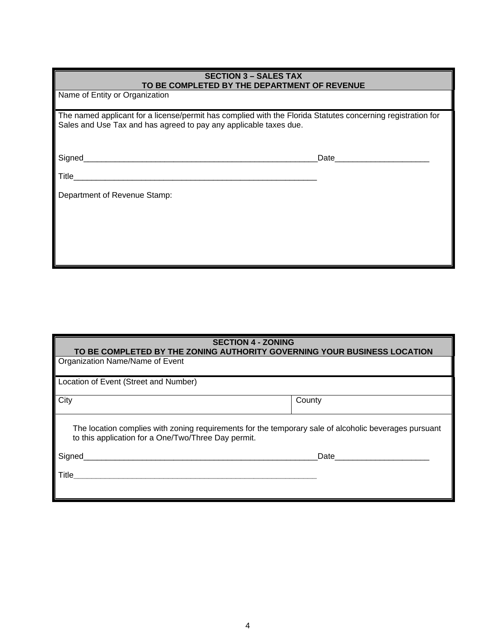| <b>SECTION 3 – SALES TAX</b><br>TO BE COMPLETED BY THE DEPARTMENT OF REVENUE                                                                                                     |                                                                                                                                                                                                                                |  |
|----------------------------------------------------------------------------------------------------------------------------------------------------------------------------------|--------------------------------------------------------------------------------------------------------------------------------------------------------------------------------------------------------------------------------|--|
| Name of Entity or Organization                                                                                                                                                   |                                                                                                                                                                                                                                |  |
| The named applicant for a license/permit has complied with the Florida Statutes concerning registration for<br>Sales and Use Tax and has agreed to pay any applicable taxes due. |                                                                                                                                                                                                                                |  |
| Signed_<br><u> 1980 - Jan Sarajević, politički predsjednik i politički predsjednik i politički predsjednik i politički preds</u>                                                 | Date and the contract of the contract of the contract of the contract of the contract of the contract of the contract of the contract of the contract of the contract of the contract of the contract of the contract of the c |  |
| <b>Title</b>                                                                                                                                                                     |                                                                                                                                                                                                                                |  |
| Department of Revenue Stamp:                                                                                                                                                     |                                                                                                                                                                                                                                |  |
|                                                                                                                                                                                  |                                                                                                                                                                                                                                |  |
|                                                                                                                                                                                  |                                                                                                                                                                                                                                |  |

| <b>SECTION 4 - ZONING</b><br>TO BE COMPLETED BY THE ZONING AUTHORITY GOVERNING YOUR BUSINESS LOCATION                                                        |        |  |
|--------------------------------------------------------------------------------------------------------------------------------------------------------------|--------|--|
| Organization Name/Name of Event                                                                                                                              |        |  |
| Location of Event (Street and Number)                                                                                                                        |        |  |
| City                                                                                                                                                         | County |  |
| The location complies with zoning requirements for the temporary sale of alcoholic beverages pursuant<br>to this application for a One/Two/Three Day permit. |        |  |
| Signed                                                                                                                                                       | Date   |  |
| Title                                                                                                                                                        |        |  |
|                                                                                                                                                              |        |  |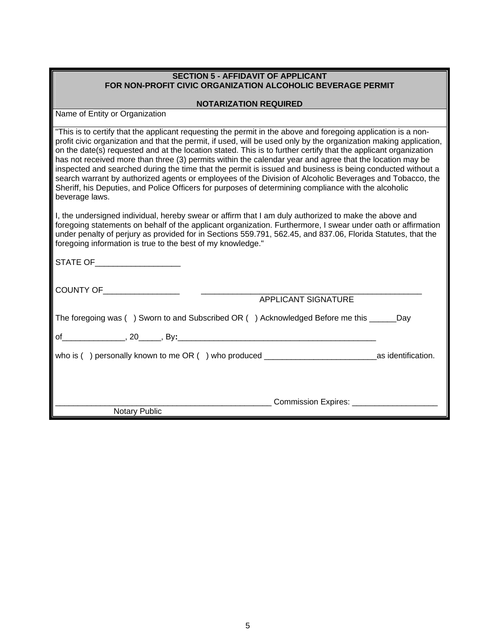# **SECTION 5 - AFFIDAVIT OF APPLICANT FOR NON-PROFIT CIVIC ORGANIZATION ALCOHOLIC BEVERAGE PERMIT**

## **NOTARIZATION REQUIRED**

Name of Entity or Organization

I, the undersigned individual, hereby swear or affirm that I am duly authorized to make the above and foregoing statements on behalf of the applicant organization. Furthermore, I swear under oath or affirmation under penalty of perjury as provided for in Sections 559.791, 562.45, and 837.06, Florida Statutes, that the foregoing information is true to the best of my knowledge."

| STATE OF______________________                                                           |  |
|------------------------------------------------------------------------------------------|--|
| APPLICANT SIGNATURE                                                                      |  |
| The foregoing was () Sworn to and Subscribed OR () Acknowledged Before me this ______Day |  |
|                                                                                          |  |
|                                                                                          |  |
|                                                                                          |  |
| ___________________________Commission Expires: _______________________                   |  |
| <b>Notary Public</b>                                                                     |  |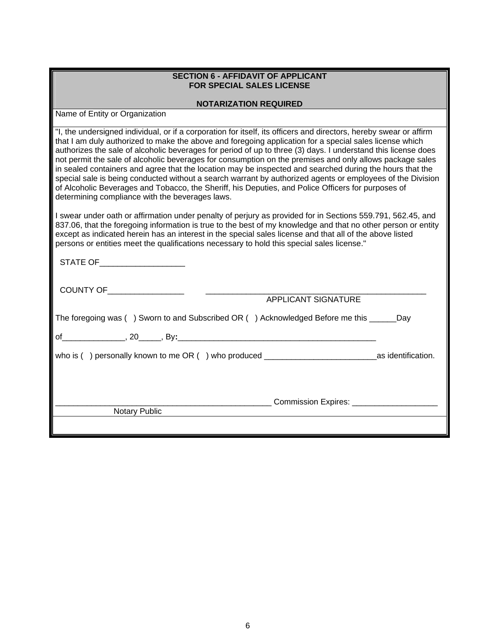# **SECTION 6 - AFFIDAVIT OF APPLICANT FOR SPECIAL SALES LICENSE**

## **NOTARIZATION REQUIRED**

Name of Entity or Organization

I swear under oath or affirmation under penalty of perjury as provided for in Sections 559.791, 562.45, and 837.06, that the foregoing information is true to the best of my knowledge and that no other person or entity except as indicated herein has an interest in the special sales license and that all of the above listed persons or entities meet the qualifications necessary to hold this special sales license."

| STATE OF                                                                                  |  |
|-------------------------------------------------------------------------------------------|--|
| APPLICANT SIGNATURE                                                                       |  |
| The foregoing was () Sworn to and Subscribed OR () Acknowledged Before me this _______Day |  |
|                                                                                           |  |
|                                                                                           |  |
|                                                                                           |  |
| ___________________________Commission Expires: __________________________                 |  |
| <b>Notary Public</b>                                                                      |  |
|                                                                                           |  |